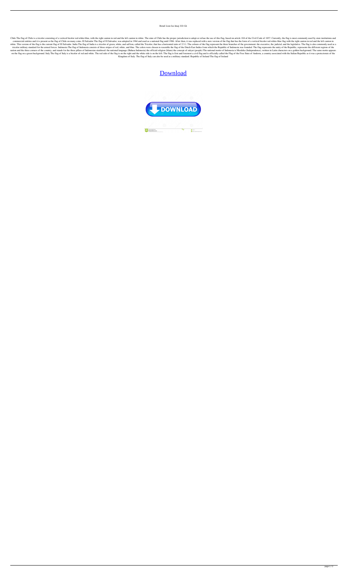## Retail Lion Iso Imaj 333 Gb

Chile The flag of Chile is a tricolor consisting of a vertical bicolor red-white-blue, with the right canton in red and the left canton in white. The state of Chile has the proper jurisdiction to adopt or refuse the use of commercial entities and it is present as the flag of Chile on many coins. El Salvador The flag of El Salvador The flag of El Salvador, was adopted in 1964 and used as a national flag until 1986. After then, it was replaced white. This version of the flag is the current flag of El Salvador. India The flag of India is a tricolor fereen, white, and saffron, called the Tricolor, that has a horizontal ratio of 2:3:1. The colours of the flag repre tricolor military standard for the armed forces. Indonesia The flag of Indonesia consists of three stripes of red, white, and blue. The colors were chosen to resemble the flag of the Dutch East Indies from which the Republ nation and the three corners of the country, and stands for the three pillars of Indonesian statehood: the national language (Bahasa Indonesia) the official religion (Islam) the concept of rakyat (people) The national mott on the flag on a green background. Italy The flag of Italy is a bicolor of red and white. The red side of the flag is on the right and the white side is on the left. The flag is first and foremost a civil flag and is offic Kingdom of Italy. The flag of Italy can also be used as a military standard. Republic of Ireland The flag of Ireland

## [Download](http://evacdir.com/?boddie&ZG93bmxvYWR8QXQwTVdVMGIzeDhNVFkxTWpRMk16QTFNSHg4TWpVM05IeDhLRTBwSUhKbFlXUXRZbXh2WnlCYlJtRnpkQ0JIUlU1ZA=equate&erotic=UmV0YWlsIExpb24gSXNvIEltYWogMzMzIEdiUmV&firepay=russians&clog=innumerous)